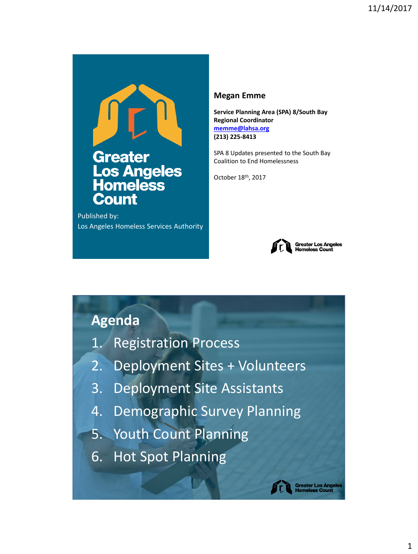

Published by: Los Angeles Homeless Services Authority

#### **Megan Emme**

**Service Planning Area (SPA) 8/South Bay Regional Coordinator [memme@lahsa.org](mailto:memme@lahsa.org) (213) 225-8413**

SPA 8 Updates presented to the South Bay Coalition to End Homelessness

October 18th, 2017



## **Agenda**

- 1. Registration Process
- 2. Deployment Sites + Volunteers
- 3. Deployment Site Assistants
- 4. Demographic Survey Planning
- 5. Youth Count Planning
- 6. Hot Spot Planning

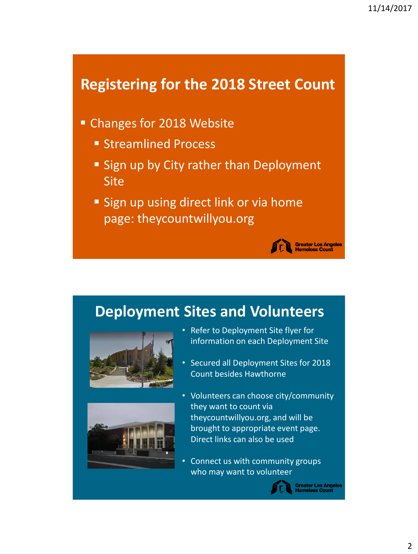## **Registering for the 2018 Street Count**

- Changes for 2018 Website
	- Streamlined Process
	- Sign up by City rather than Deployment Site
	- Sign up using direct link or via home page: theycountwillyou.org

# **Deployment Sites and Volunteers**





- Refer to Deployment Site flyer for information on each Deployment Site
- Secured all Deployment Sites for 2018 Count besides Hawthorne
- Volunteers can choose city/community they want to count via theycountwillyou.org, and will be brought to appropriate event page. Direct links can also be used
- Connect us with community groups who may want to volunteer



Greater Los Angeles<br>Homeless Count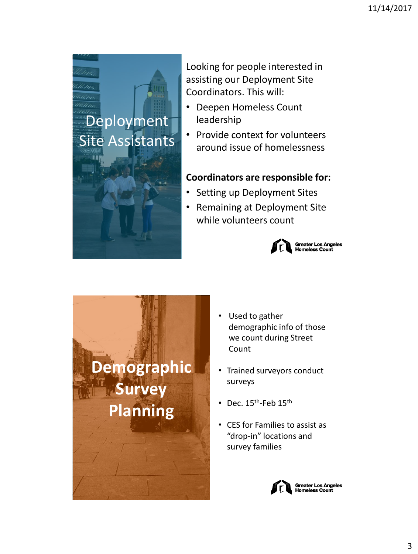

Looking for people interested in assisting our Deployment Site Coordinators. This will:

- Deepen Homeless Count leadership
- Provide context for volunteers around issue of homelessness

#### **Coordinators are responsible for:**

- Setting up Deployment Sites
- Remaining at Deployment Site while volunteers count





- Used to gather demographic info of those we count during Street Count
- Trained surveyors conduct surveys
- Dec.  $15^{\text{th}}$ -Feb  $15^{\text{th}}$
- CES for Families to assist as "drop-in" locations and survey families

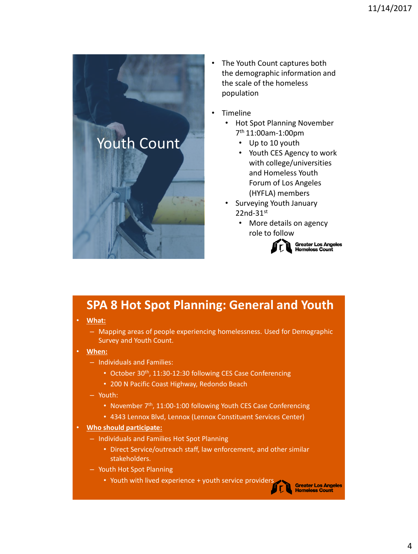

- The Youth Count captures both the demographic information and the scale of the homeless population
- **Timeline** 
	- Hot Spot Planning November 7 th 11:00am-1:00pm
		- Up to 10 youth
		- Youth CES Agency to work with college/universities and Homeless Youth Forum of Los Angeles (HYFLA) members
	- Surveying Youth January 22nd-31st
		- More details on agency role to follow



**Greater Los Angeles Homeless Count** 

## **SPA 8 Hot Spot Planning: General and Youth**

• **What:** 

- Mapping areas of people experiencing homelessness. Used for Demographic Survey and Youth Count.
- **When:**
	- Individuals and Families:
		- October 30<sup>th</sup>, 11:30-12:30 following CES Case Conferencing
		- 200 N Pacific Coast Highway, Redondo Beach
	- Youth:
		- November 7<sup>th</sup>, 11:00-1:00 following Youth CES Case Conferencing
		- 4343 Lennox Blvd, Lennox (Lennox Constituent Services Center)
- **Who should participate:**
	- Individuals and Families Hot Spot Planning
		- Direct Service/outreach staff, law enforcement, and other similar stakeholders.
	- Youth Hot Spot Planning
		- Youth with lived experience + youth service providers